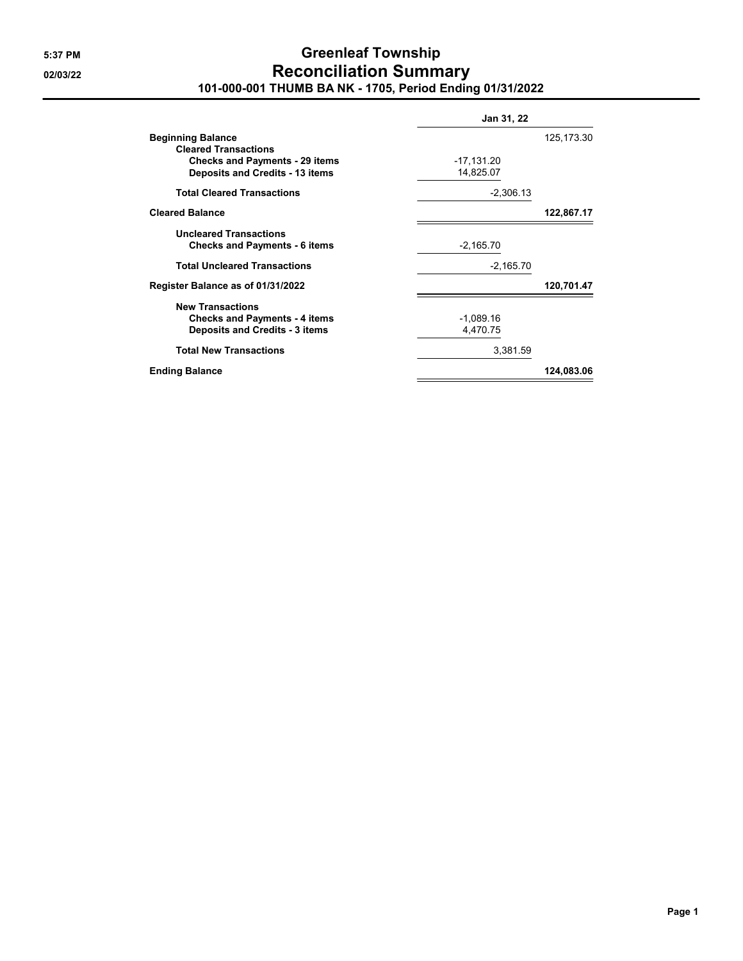## **5:37 PM Greenleaf Township 02/03/22 Reconciliation Summary 101-000-001 THUMB BA NK - 1705, Period Ending 01/31/2022**

|                                                                                                          | <b>Jan 31, 22</b>         |             |  |
|----------------------------------------------------------------------------------------------------------|---------------------------|-------------|--|
| <b>Beginning Balance</b><br><b>Cleared Transactions</b>                                                  |                           | 125, 173.30 |  |
| <b>Checks and Payments - 29 items</b><br><b>Deposits and Credits - 13 items</b>                          | $-17,131.20$<br>14,825.07 |             |  |
| <b>Total Cleared Transactions</b>                                                                        | $-2,306.13$               |             |  |
| <b>Cleared Balance</b>                                                                                   |                           | 122,867.17  |  |
| <b>Uncleared Transactions</b><br><b>Checks and Payments - 6 items</b>                                    | $-2,165.70$               |             |  |
| <b>Total Uncleared Transactions</b>                                                                      | $-2,165.70$               |             |  |
| Register Balance as of 01/31/2022                                                                        |                           | 120,701.47  |  |
| <b>New Transactions</b><br><b>Checks and Payments - 4 items</b><br><b>Deposits and Credits - 3 items</b> | $-1,089.16$<br>4,470.75   |             |  |
| <b>Total New Transactions</b>                                                                            | 3,381.59                  |             |  |
| <b>Ending Balance</b>                                                                                    |                           | 124,083.06  |  |
|                                                                                                          |                           |             |  |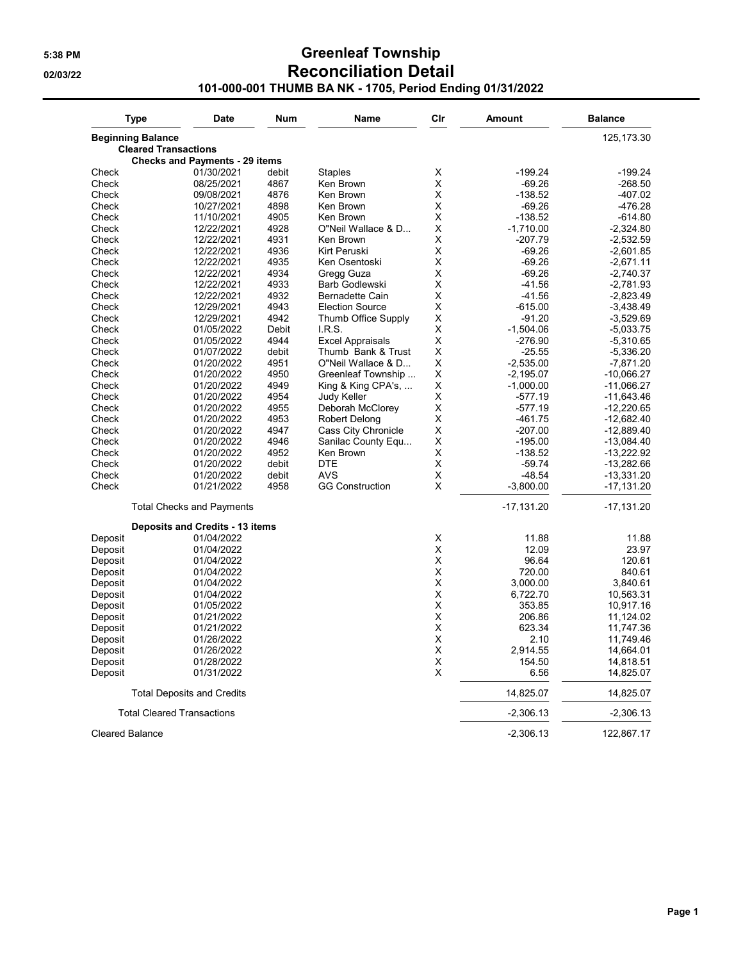## **5:38 PM Greenleaf Township 02/03/22 Reconciliation Detail 101-000-001 THUMB BA NK - 1705, Period Ending 01/31/2022**

| <b>Type</b>              | <b>Date</b>                            | <b>Num</b>    | <b>Name</b>              | Cir    | Amount                  | <b>Balance</b>             |
|--------------------------|----------------------------------------|---------------|--------------------------|--------|-------------------------|----------------------------|
| <b>Beginning Balance</b> |                                        |               |                          |        |                         | 125, 173.30                |
|                          | <b>Cleared Transactions</b>            |               |                          |        |                         |                            |
|                          | <b>Checks and Payments - 29 items</b>  |               |                          |        |                         |                            |
| Check                    | 01/30/2021                             | debit         | <b>Staples</b>           | Χ      | $-199.24$               | -199.24                    |
| Check                    | 08/25/2021                             | 4867          | Ken Brown                | Χ      | $-69.26$                | $-268.50$                  |
| Check                    | 09/08/2021                             | 4876          | Ken Brown                | Χ      | $-138.52$               | -407.02                    |
| Check                    | 10/27/2021                             | 4898          | Ken Brown                | Χ      | $-69.26$                | -476.28                    |
| Check                    | 11/10/2021                             | 4905          | Ken Brown                | Χ      | $-138.52$               | $-614.80$                  |
| Check                    | 12/22/2021                             | 4928          | O"Neil Wallace & D       | X      | $-1,710.00$             | $-2,324.80$                |
| Check                    | 12/22/2021                             | 4931          | Ken Brown                | Χ      | -207.79                 | $-2,532.59$                |
| Check                    | 12/22/2021                             | 4936          | Kirt Peruski             | Χ      | $-69.26$                | $-2,601.85$                |
| Check                    | 12/22/2021                             | 4935          | Ken Osentoski            | X      | $-69.26$                | $-2,671.11$                |
| Check                    | 12/22/2021                             | 4934          | Gregg Guza               | Χ      | $-69.26$                | -2,740.37                  |
| Check                    | 12/22/2021                             | 4933          | Barb Godlewski           | X      | $-41.56$                | $-2,781.93$                |
| Check                    | 12/22/2021                             | 4932          | Bernadette Cain          | Χ      | $-41.56$                | $-2,823.49$                |
| Check                    | 12/29/2021                             | 4943          | <b>Election Source</b>   | Χ      | $-615.00$               | -3,438.49                  |
| Check                    | 12/29/2021                             | 4942          | Thumb Office Supply      | X      | $-91.20$                | $-3,529.69$                |
| Check                    | 01/05/2022                             | <b>Debit</b>  | I.R.S.                   | X      | $-1,504.06$             | $-5,033.75$                |
| Check                    | 01/05/2022                             | 4944          | <b>Excel Appraisals</b>  | X      | -276.90                 | $-5,310.65$                |
| Check                    | 01/07/2022                             | debit         | Thumb Bank & Trust       | X      | $-25.55$                | $-5,336.20$                |
| Check                    | 01/20/2022                             | 4951          | O"Neil Wallace & D       | Χ      | $-2,535.00$             | -7,871.20                  |
| Check                    | 01/20/2022                             | 4950          | Greenleaf Township       | Χ      | -2,195.07               | $-10,066.27$               |
| Check                    | 01/20/2022                             | 4949          | King & King CPA's,       | Χ      | $-1,000.00$             | $-11,066.27$               |
| Check                    | 01/20/2022                             | 4954          | Judy Keller              | Χ      | $-577.19$               | $-11,643.46$               |
| Check                    | 01/20/2022                             | 4955          | Deborah McClorey         | X      | $-577.19$               | $-12,220.65$               |
| Check                    | 01/20/2022                             | 4953          | Robert Delong            | Χ      | $-461.75$               | $-12,682.40$               |
| Check                    | 01/20/2022                             | 4947          | Cass City Chronicle      | X      | $-207.00$               | -12,889.40                 |
| Check                    | 01/20/2022                             | 4946          | Sanilac County Equ       | Χ      | $-195.00$               | $-13,084.40$               |
| Check                    | 01/20/2022                             | 4952          | Ken Brown                | Χ      | $-138.52$               | $-13,222.92$               |
| Check                    | 01/20/2022                             | debit         | <b>DTE</b><br><b>AVS</b> | X      | $-59.74$                | $-13,282.66$               |
| Check<br>Check           | 01/20/2022<br>01/21/2022               | debit<br>4958 | <b>GG Construction</b>   | X<br>X | $-48.54$<br>$-3,800.00$ | $-13,331.20$<br>-17,131.20 |
|                          | <b>Total Checks and Payments</b>       |               |                          |        | $-17,131.20$            | $-17,131.20$               |
|                          | <b>Deposits and Credits - 13 items</b> |               |                          |        |                         |                            |
| Deposit                  | 01/04/2022                             |               |                          | Χ      | 11.88                   | 11.88                      |
| Deposit                  | 01/04/2022                             |               |                          | Χ      | 12.09                   | 23.97                      |
| Deposit                  | 01/04/2022                             |               |                          | Χ      | 96.64                   | 120.61                     |
| Deposit                  | 01/04/2022                             |               |                          | Χ      | 720.00                  | 840.61                     |
| Deposit                  | 01/04/2022                             |               |                          | X      | 3,000.00                | 3,840.61                   |
| Deposit                  | 01/04/2022                             |               |                          | Χ      | 6,722.70                | 10,563.31                  |
| Deposit                  | 01/05/2022                             |               |                          | X      | 353.85                  | 10,917.16                  |
| Deposit                  | 01/21/2022                             |               |                          | X      | 206.86                  | 11,124.02                  |
| Deposit                  | 01/21/2022                             |               |                          | X      | 623.34                  | 11,747.36                  |
| Deposit                  | 01/26/2022                             |               |                          | X      | 2.10                    | 11,749.46                  |
| Deposit                  | 01/26/2022                             |               |                          | Χ      | 2,914.55                | 14,664.01                  |
| Deposit                  | 01/28/2022                             |               |                          | Χ      | 154.50                  | 14,818.51                  |
| Deposit                  | 01/31/2022                             |               |                          | X      | 6.56                    | 14,825.07                  |
|                          | <b>Total Deposits and Credits</b>      |               |                          |        | 14,825.07               | 14,825.07                  |
|                          | <b>Total Cleared Transactions</b>      |               |                          |        | $-2,306.13$             | $-2,306.13$                |
| <b>Cleared Balance</b>   |                                        |               |                          |        | $-2,306.13$             | 122,867.17                 |